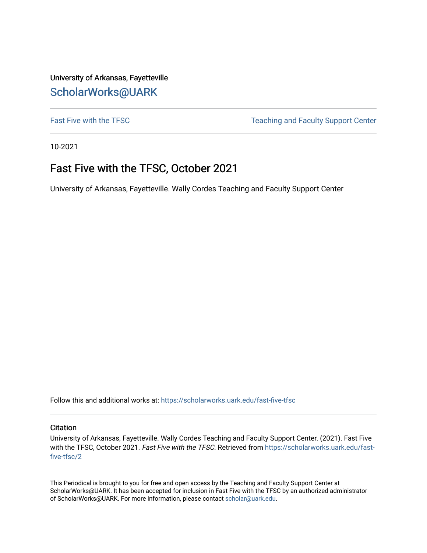University of Arkansas, Fayetteville [ScholarWorks@UARK](https://scholarworks.uark.edu/) 

[Fast Five with the TFSC](https://scholarworks.uark.edu/fast-five-tfsc) Teaching and Faculty Support Center

10-2021

# Fast Five with the TFSC, October 2021

University of Arkansas, Fayetteville. Wally Cordes Teaching and Faculty Support Center

Follow this and additional works at: [https://scholarworks.uark.edu/fast-five-tfsc](https://scholarworks.uark.edu/fast-five-tfsc?utm_source=scholarworks.uark.edu%2Ffast-five-tfsc%2F2&utm_medium=PDF&utm_campaign=PDFCoverPages) 

#### **Citation**

University of Arkansas, Fayetteville. Wally Cordes Teaching and Faculty Support Center. (2021). Fast Five with the TFSC, October 2021. Fast Five with the TFSC. Retrieved from [https://scholarworks.uark.edu/fast](https://scholarworks.uark.edu/fast-five-tfsc/2?utm_source=scholarworks.uark.edu%2Ffast-five-tfsc%2F2&utm_medium=PDF&utm_campaign=PDFCoverPages)[five-tfsc/2](https://scholarworks.uark.edu/fast-five-tfsc/2?utm_source=scholarworks.uark.edu%2Ffast-five-tfsc%2F2&utm_medium=PDF&utm_campaign=PDFCoverPages)

This Periodical is brought to you for free and open access by the Teaching and Faculty Support Center at ScholarWorks@UARK. It has been accepted for inclusion in Fast Five with the TFSC by an authorized administrator of ScholarWorks@UARK. For more information, please contact [scholar@uark.edu.](mailto:scholar@uark.edu)